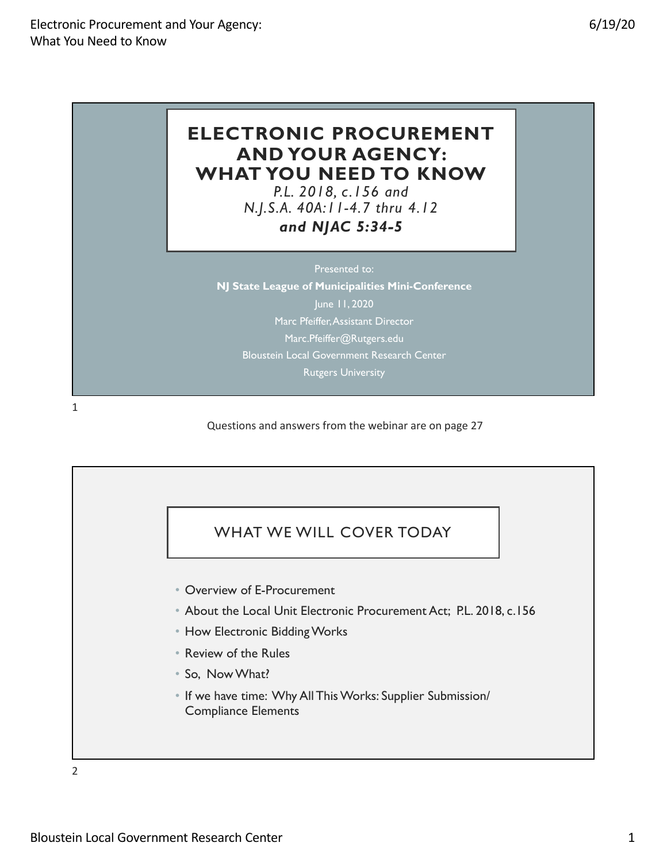## **ELECTRONIC PROCUREMENT AND YOUR AGENCY: WHAT YOU NEED TO KNOW**

*P.L. 2018, c.156 and N.J.S.A. 40A:11-4.7 thru 4.12 and NJAC 5:34-5*

Presented to:

**NJ State League of Municipalities Mini-Conference** June 11, 2020 Marc Pfeiffer, Assistant Director Marc.Pfeiffer@Rutgers.edu Bloustein Local Government Research Center Rutgers University

1

Questions and answers from the webinar are on page 27

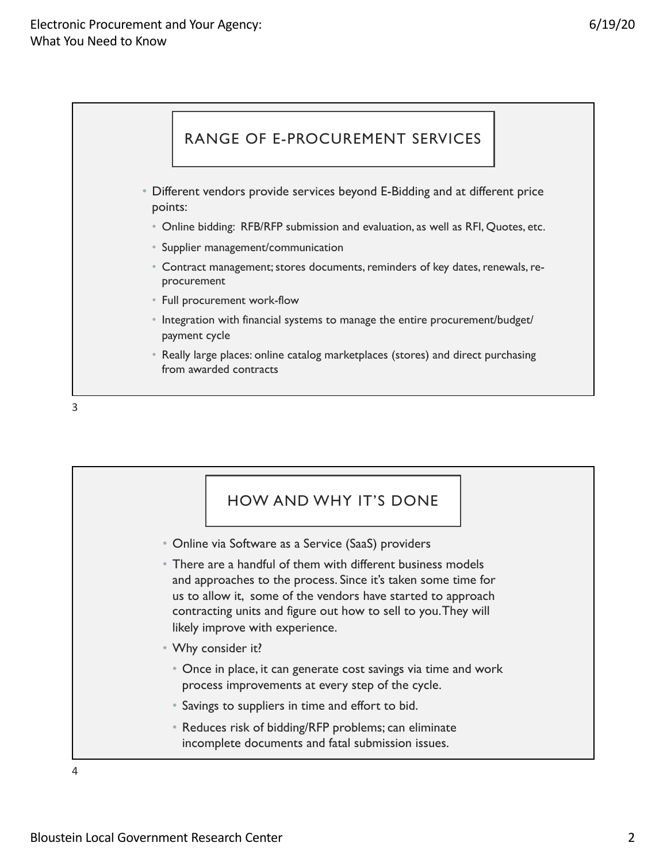



Bloustein Local Government Research Center 2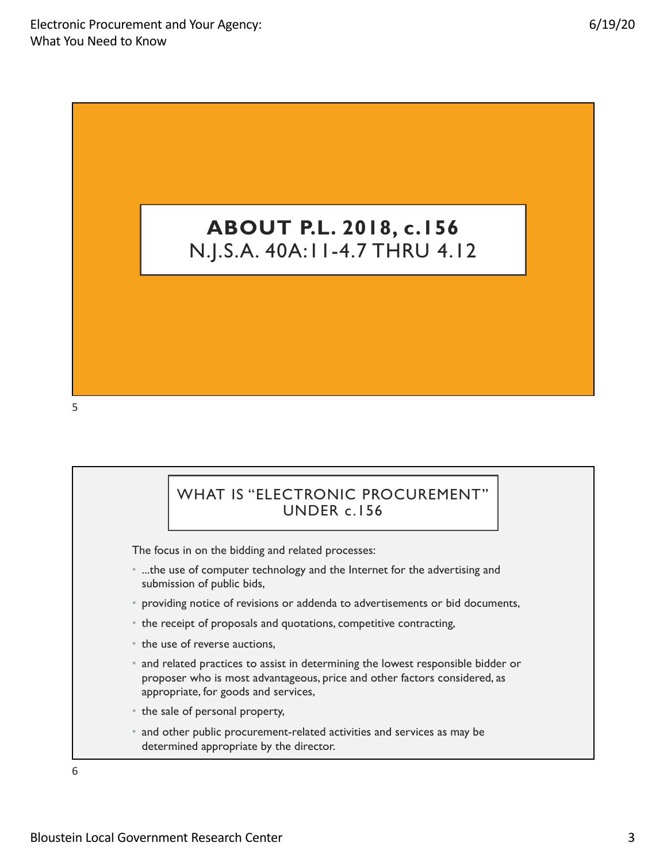## **ABOUT P.L. 2018, c.156** N.J.S.A. 40A:11-4.7 THRU 4.12

5



Bloustein Local Government Research Center 3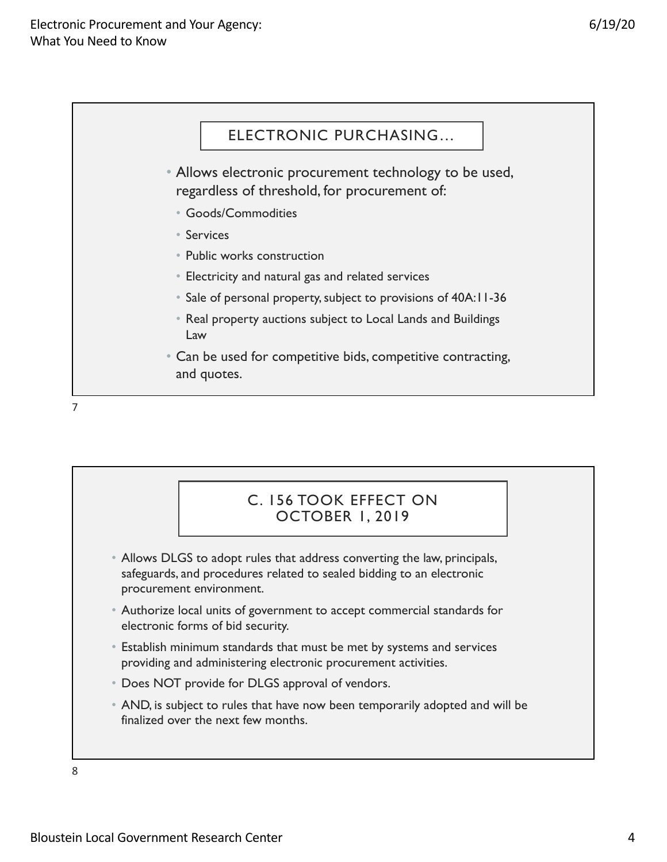

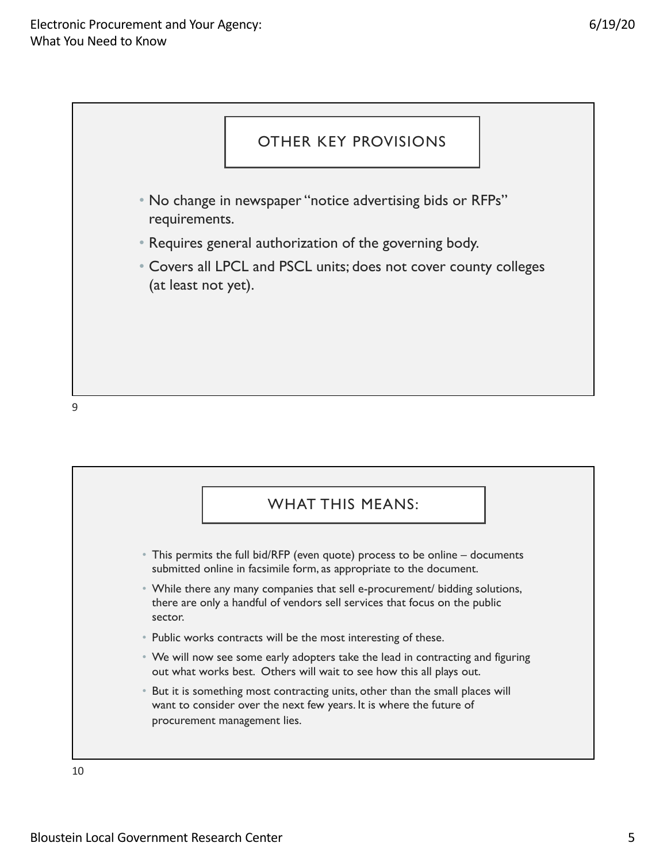

- No change in newspaper "notice advertising bids or RFPs" requirements.
- Requires general authorization of the governing body.
- Covers all LPCL and PSCL units; does not cover county colleges (at least not yet).

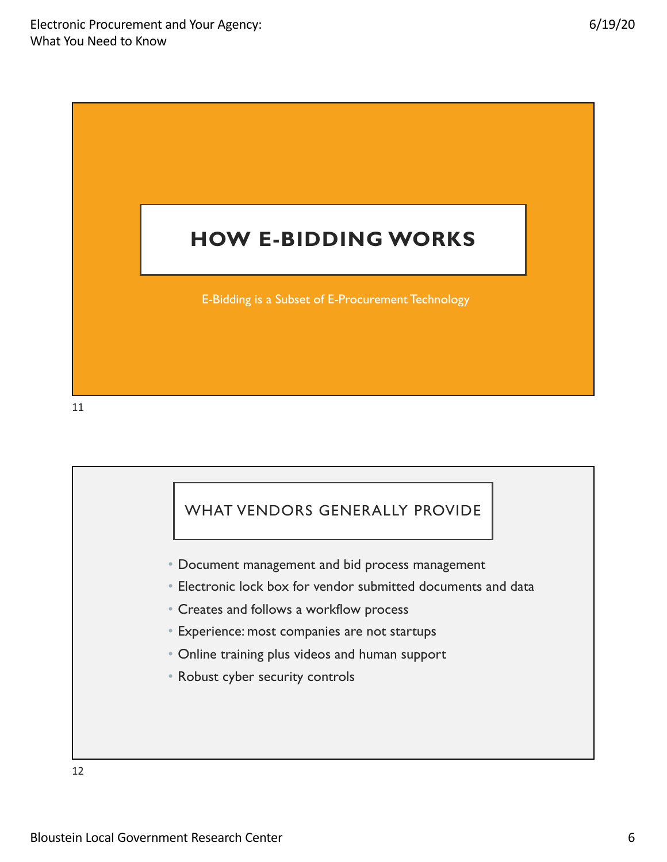# **HOW E-BIDDING WORKS**

E-Bidding is a Subset of E-Procurement Technology

11

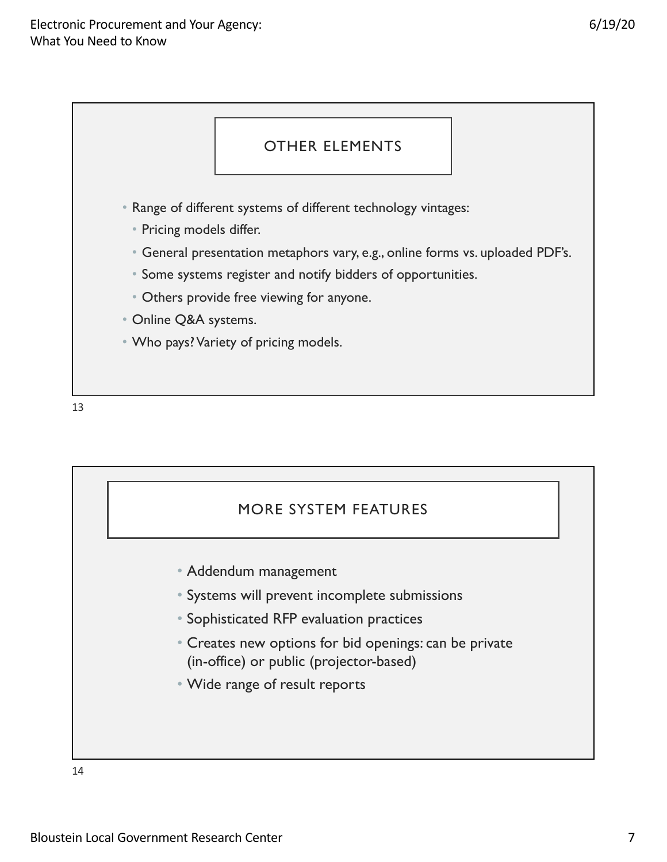#### OTHER ELEMENTS

- Range of different systems of different technology vintages:
	- Pricing models differ.
	- General presentation metaphors vary, e.g., online forms vs. uploaded PDF's.
	- Some systems register and notify bidders of opportunities.
	- Others provide free viewing for anyone.
- Online Q&A systems.
- Who pays? Variety of pricing models.



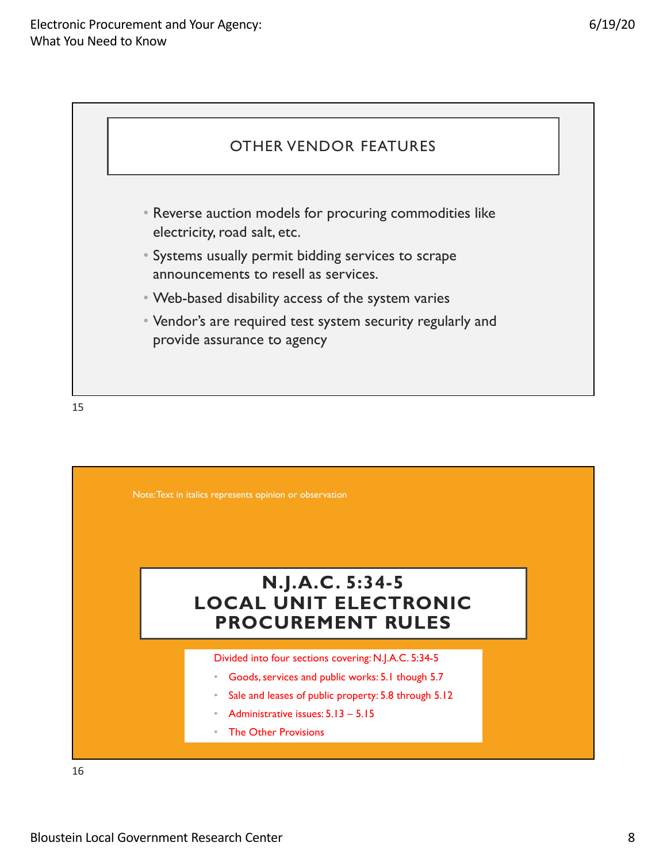

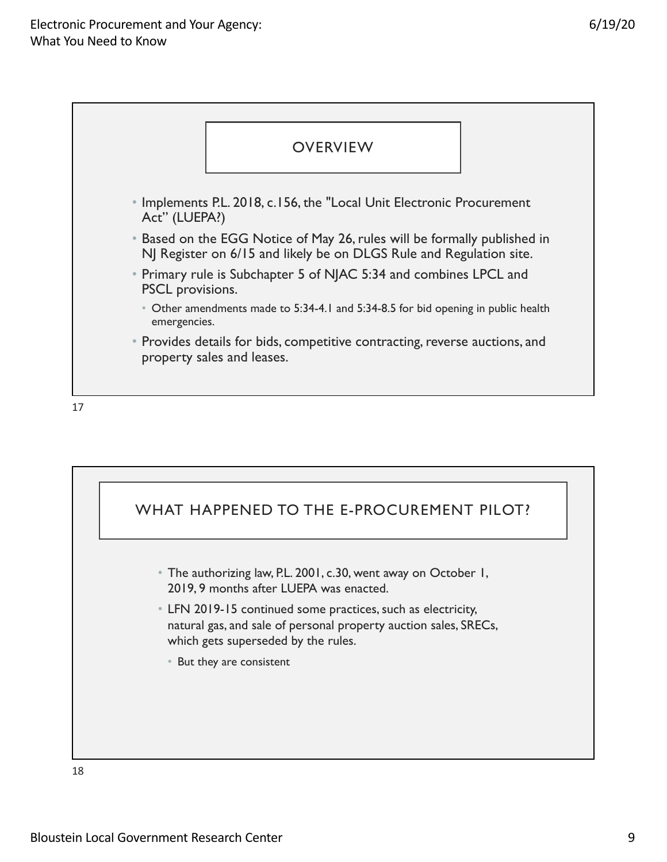

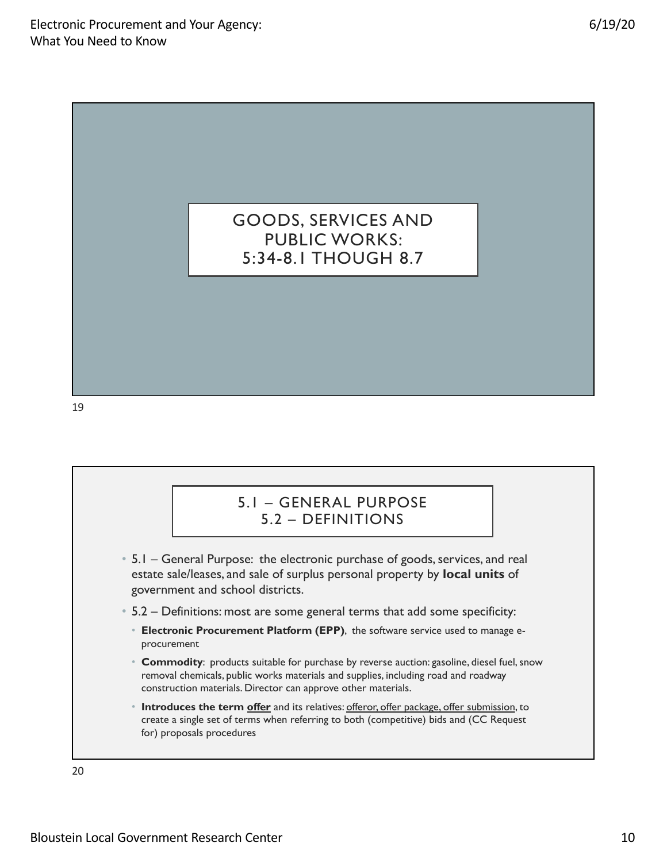### GOODS, SERVICES AND PUBLIC WORKS: 5:34-8.1 THOUGH 8.7

19

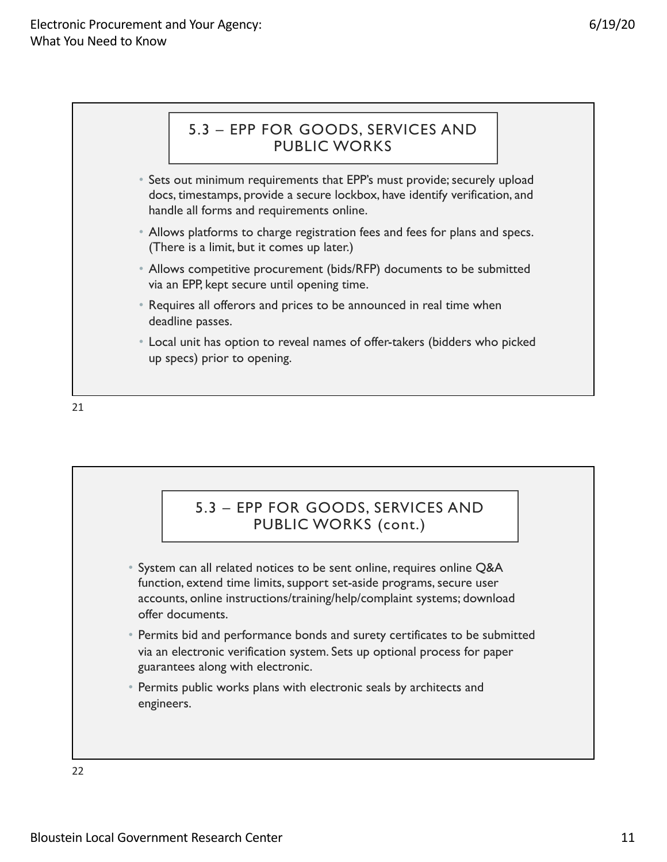### 5.3 – EPP FOR GOODS, SERVICES AND PUBLIC WORKS

- Sets out minimum requirements that EPP's must provide; securely upload docs, timestamps, provide a secure lockbox, have identify verification, and handle all forms and requirements online.
- Allows platforms to charge registration fees and fees for plans and specs. (There is a limit, but it comes up later.)
- Allows competitive procurement (bids/RFP) documents to be submitted via an EPP, kept secure until opening time.
- Requires all offerors and prices to be announced in real time when deadline passes.
- Local unit has option to reveal names of offer-takers (bidders who picked up specs) prior to opening.

![](_page_10_Figure_9.jpeg)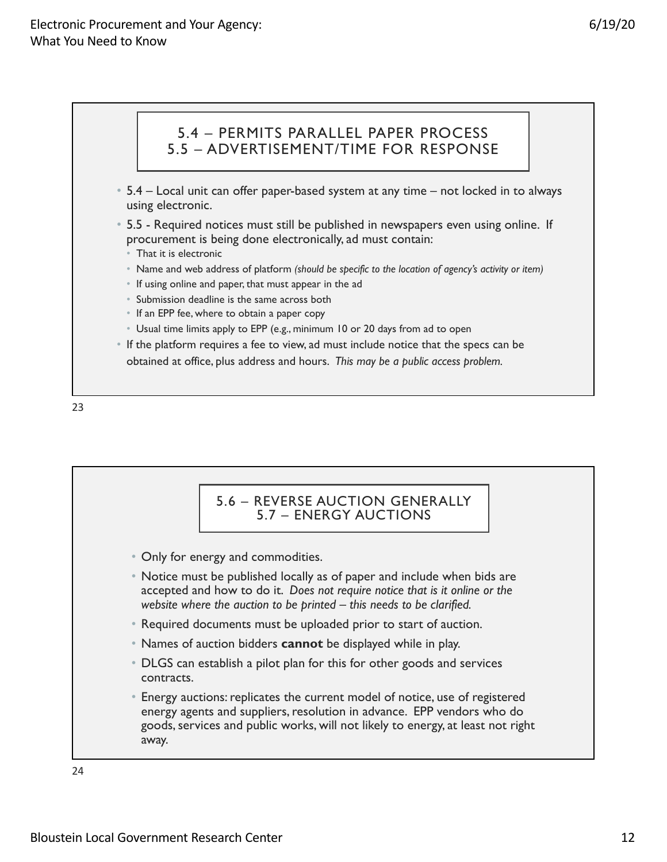#### Electronic Procurement and Your Agency: What You Need to Know

![](_page_11_Figure_2.jpeg)

- 5.4 Local unit can offer paper-based system at any time not locked in to always using electronic.
- 5.5 Required notices must still be published in newspapers even using online. If procurement is being done electronically, ad must contain:
	- That it is electronic
	- Name and web address of platform *(should be specific to the location of agency's activity or item)*
	- If using online and paper, that must appear in the ad
	- Submission deadline is the same across both
	- If an EPP fee, where to obtain a paper copy
	- Usual time limits apply to EPP (e.g., minimum 10 or 20 days from ad to open
- If the platform requires a fee to view, ad must include notice that the specs can be obtained at office, plus address and hours. *This may be a public access problem.*

![](_page_11_Figure_12.jpeg)

![](_page_11_Figure_13.jpeg)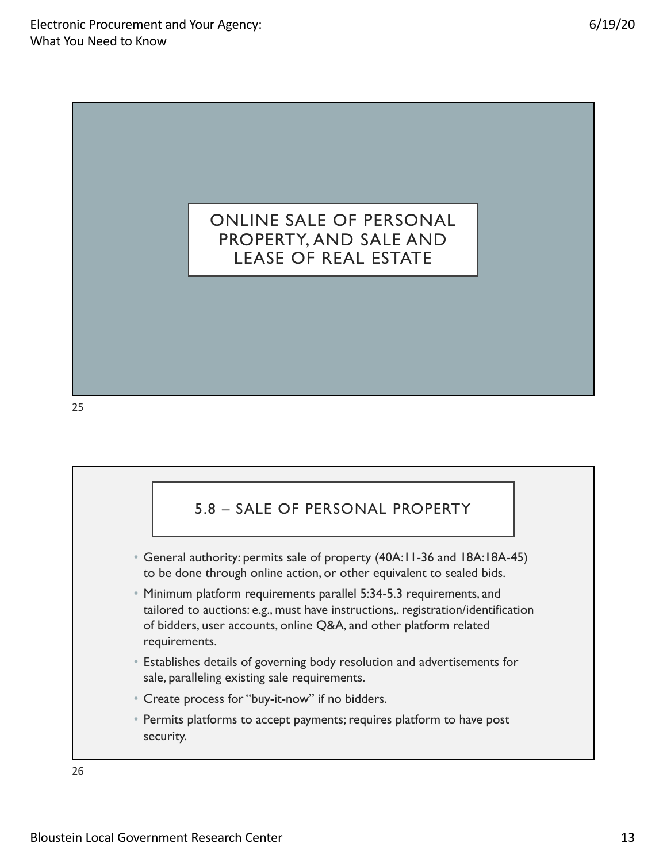### ONLINE SALE OF PERSONAL PROPERTY, AND SALE AND LEASE OF REAL ESTATE

25

![](_page_12_Figure_4.jpeg)

Bloustein Local Government Research Center 13 and 13 and 13 and 13 and 13 and 13 and 13 and 13 and 13 and 13 and 13 and 13 and 13 and 13 and 13 and 13 and 13 and 13 and 13 and 13 and 13 and 13 and 13 and 13 and 13 and 13 a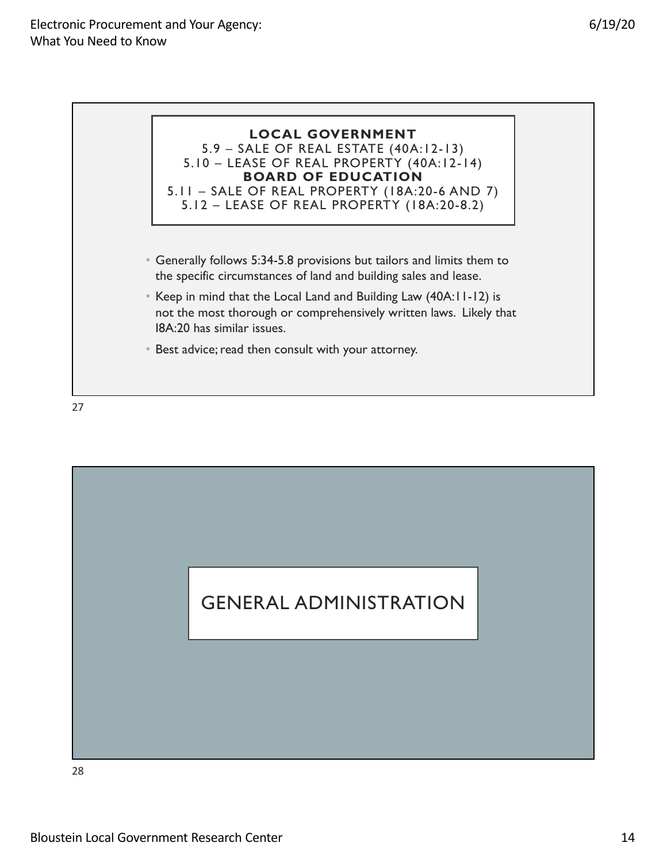#### **LOCAL GOVERNMENT** 5.9 – SALE OF REAL ESTATE (40A:12-13)

5.10 – LEASE OF REAL PROPERTY (40A:12-14)

#### **BOARD OF EDUCATION**

5.11 – SALE OF REAL PROPERTY (18A:20-6 AND 7) 5.12 – LEASE OF REAL PROPERTY (18A:20-8.2)

- Generally follows 5:34-5.8 provisions but tailors and limits them to the specific circumstances of land and building sales and lease.
- Keep in mind that the Local Land and Building Law (40A:11-12) is not the most thorough or comprehensively written laws. Likely that I8A:20 has similar issues.
- Best advice; read then consult with your attorney.

27

![](_page_13_Picture_10.jpeg)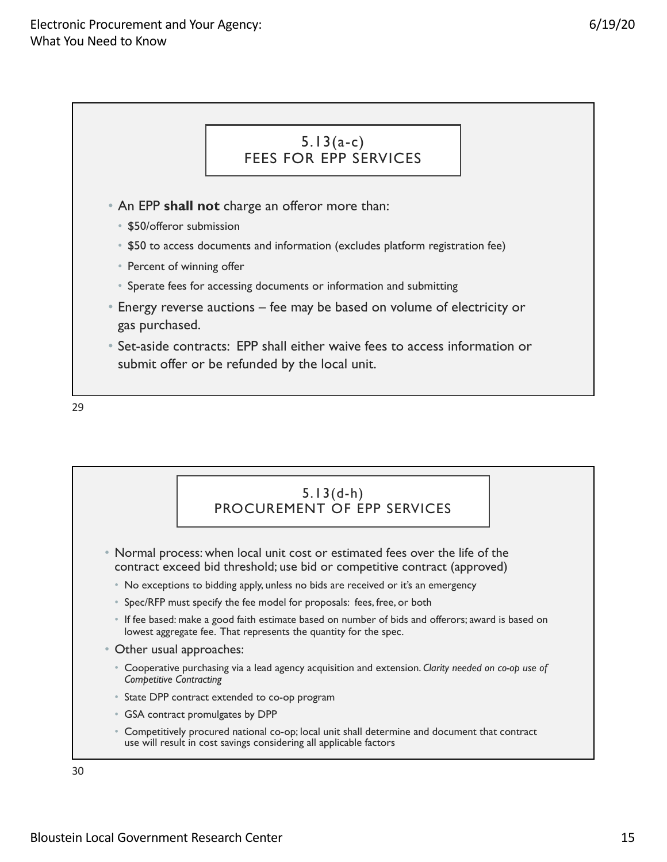#### 5.13(a-c) FEES FOR EPP SERVICES

- An EPP **shall not** charge an offeror more than:
	- \$50/offeror submission
	- \$50 to access documents and information (excludes platform registration fee)
	- Percent of winning offer
	- Sperate fees for accessing documents or information and submitting
- Energy reverse auctions fee may be based on volume of electricity or gas purchased.
- Set-aside contracts: EPP shall either waive fees to access information or submit offer or be refunded by the local unit.

29

![](_page_14_Figure_11.jpeg)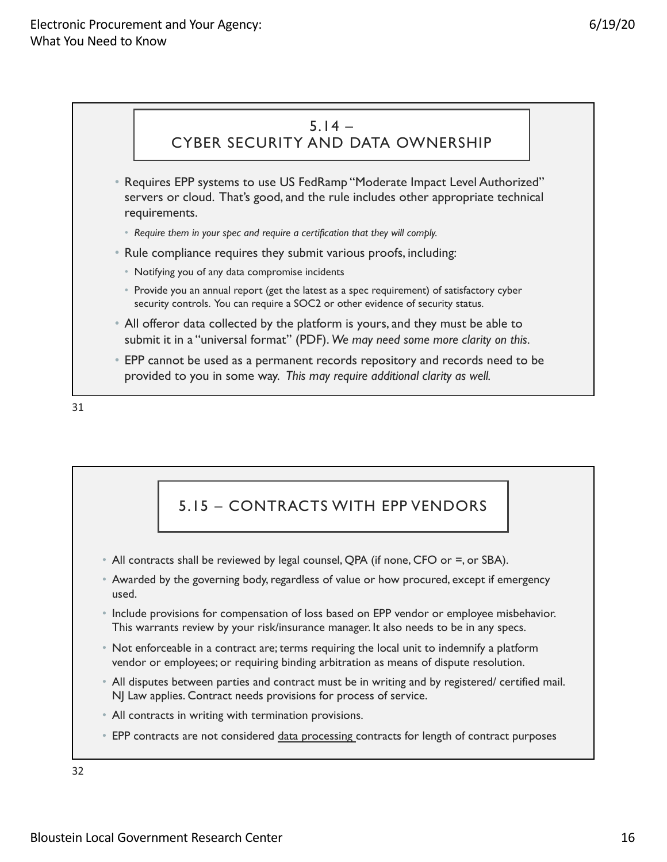![](_page_15_Figure_2.jpeg)

- Requires EPP systems to use US FedRamp "Moderate Impact Level Authorized" servers or cloud. That's good, and the rule includes other appropriate technical requirements.
	- *Require them in your spec and require a certification that they will comply.*
- Rule compliance requires they submit various proofs, including:
	- Notifying you of any data compromise incidents
	- Provide you an annual report (get the latest as a spec requirement) of satisfactory cyber security controls. You can require a SOC2 or other evidence of security status.
- All offeror data collected by the platform is yours, and they must be able to submit it in a "universal format" (PDF). *We may need some more clarity on this.*
- EPP cannot be used as a permanent records repository and records need to be provided to you in some way. *This may require additional clarity as well.*

![](_page_15_Figure_11.jpeg)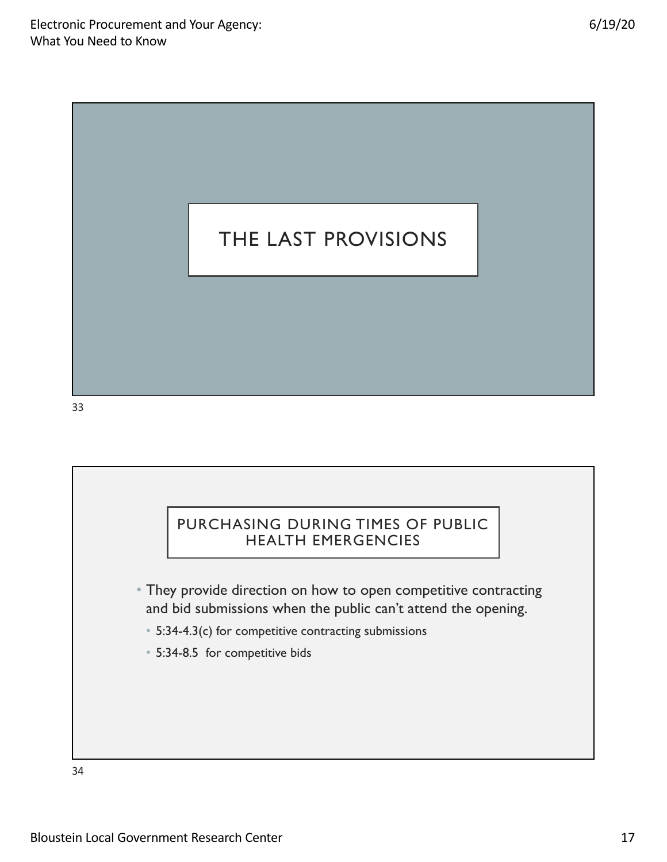# THE LAST PROVISIONS

33

![](_page_16_Figure_4.jpeg)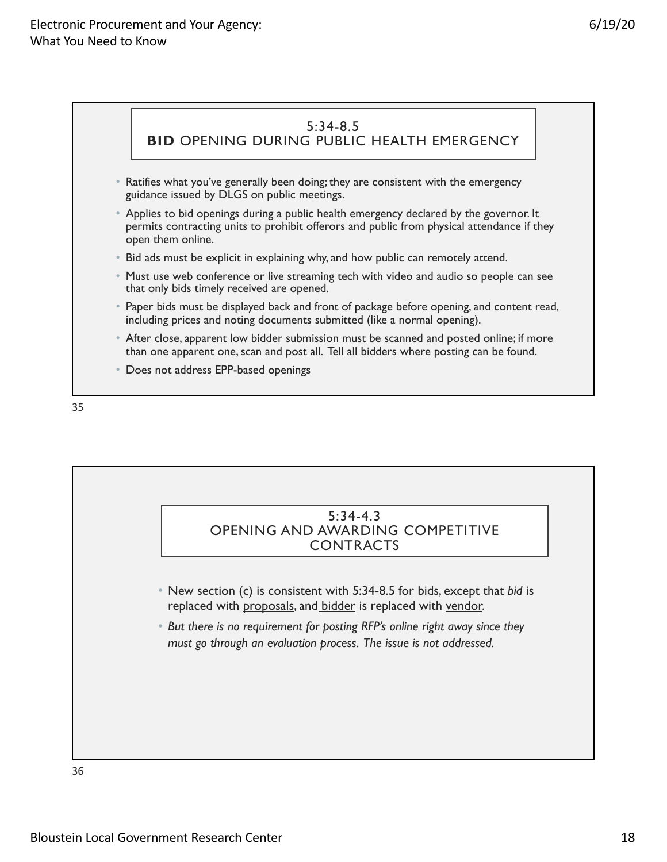#### 5:34-8.5

#### **BID** OPENING DURING PUBLIC HEALTH EMERGENCY

- Ratifies what you've generally been doing; they are consistent with the emergency guidance issued by DLGS on public meetings.
- Applies to bid openings during a public health emergency declared by the governor. It permits contracting units to prohibit offerors and public from physical attendance if they open them online.
- Bid ads must be explicit in explaining why, and how public can remotely attend.
- Must use web conference or live streaming tech with video and audio so people can see that only bids timely received are opened.
- Paper bids must be displayed back and front of package before opening, and content read, including prices and noting documents submitted (like a normal opening).
- After close, apparent low bidder submission must be scanned and posted online; if more than one apparent one, scan and post all. Tell all bidders where posting can be found.
- Does not address EPP-based openings

35

![](_page_17_Figure_12.jpeg)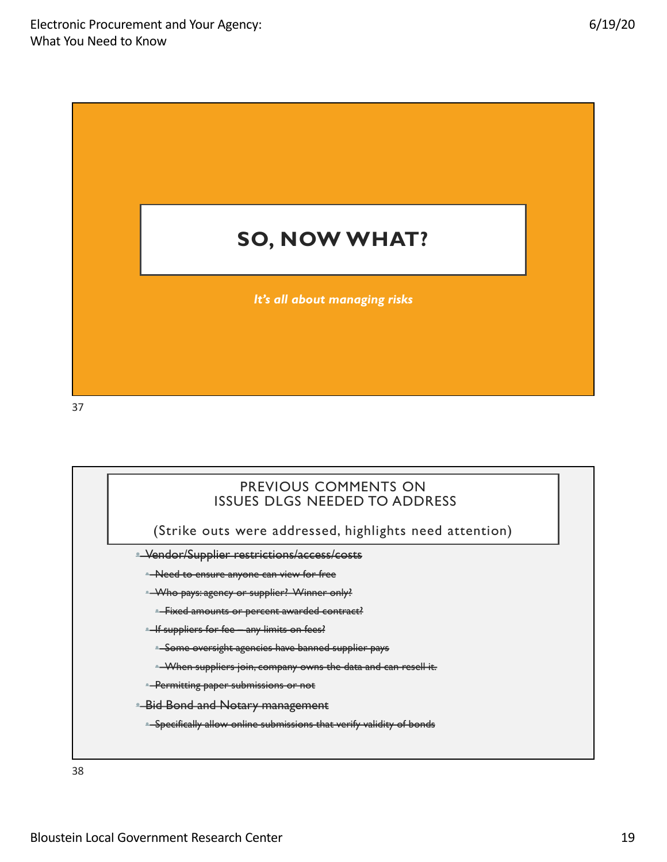# **SO, NOW WHAT?**

*It's all about managing risks*

![](_page_18_Figure_5.jpeg)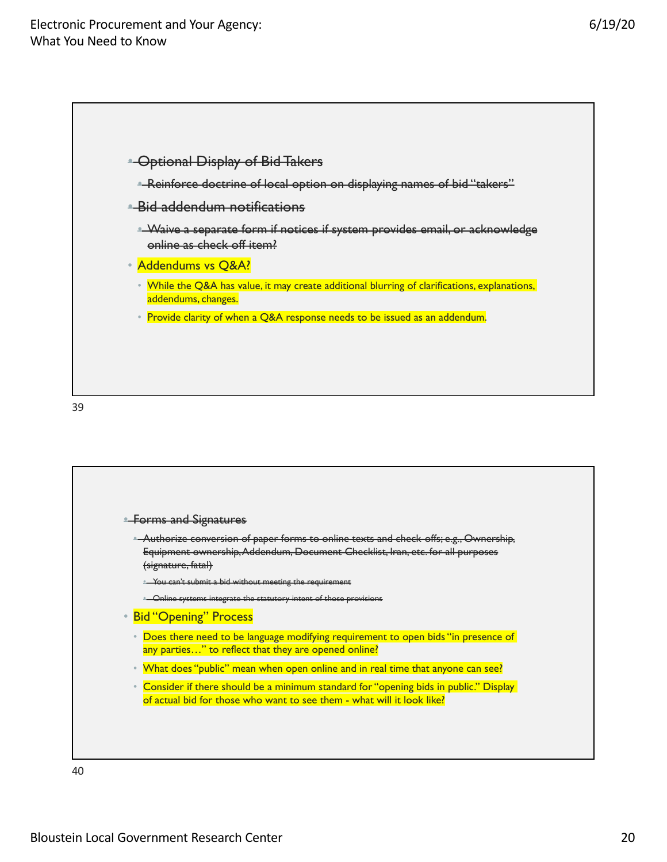![](_page_19_Figure_2.jpeg)

![](_page_19_Figure_4.jpeg)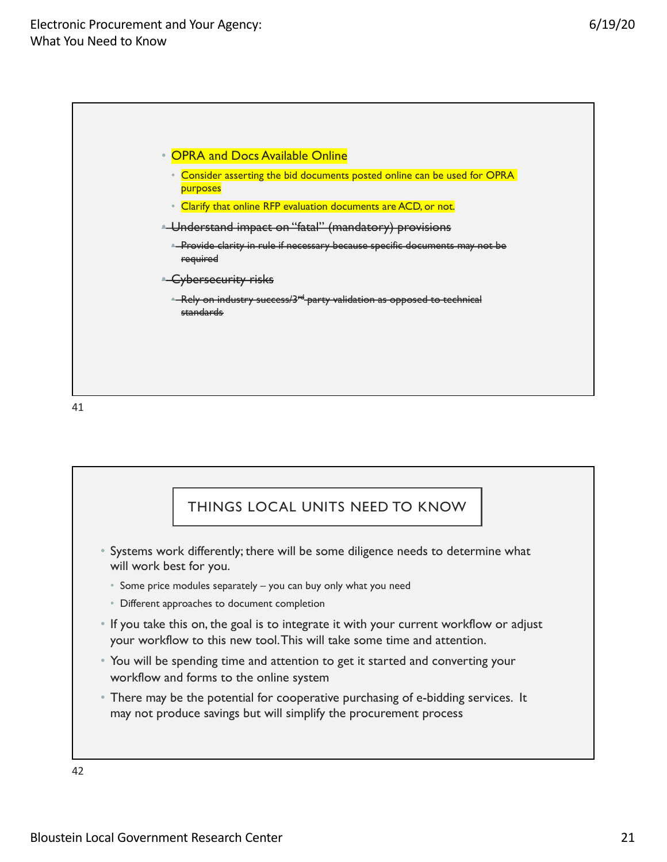![](_page_20_Figure_2.jpeg)

![](_page_20_Figure_3.jpeg)

![](_page_20_Figure_4.jpeg)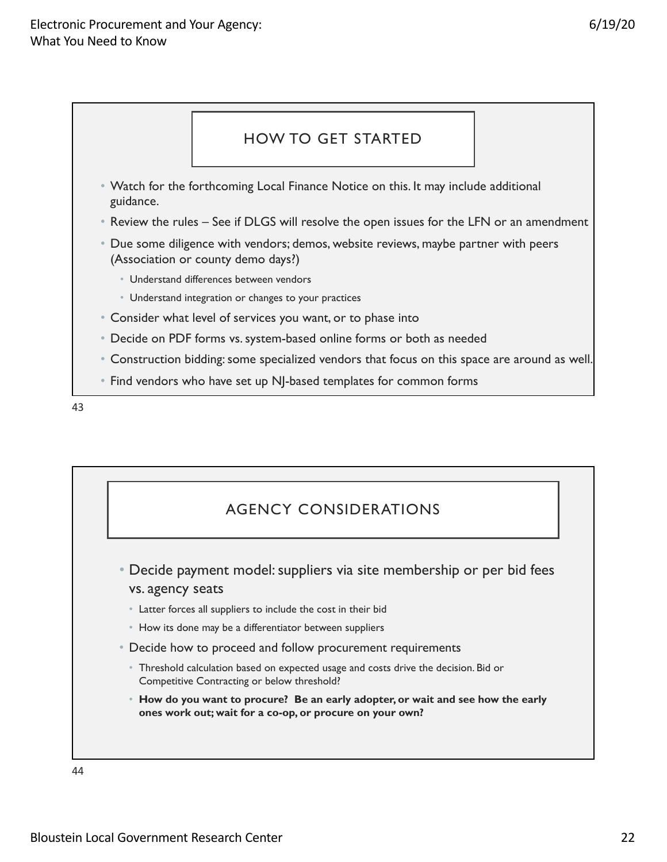![](_page_21_Figure_2.jpeg)

- Watch for the forthcoming Local Finance Notice on this. It may include additional guidance.
- Review the rules See if DLGS will resolve the open issues for the LFN or an amendment
- Due some diligence with vendors; demos, website reviews, maybe partner with peers (Association or county demo days?)
	- Understand differences between vendors
	- Understand integration or changes to your practices
- Consider what level of services you want, or to phase into
- Decide on PDF forms vs. system-based online forms or both as needed
- Construction bidding: some specialized vendors that focus on this space are around as well.
- Find vendors who have set up NJ-based templates for common forms

![](_page_21_Figure_13.jpeg)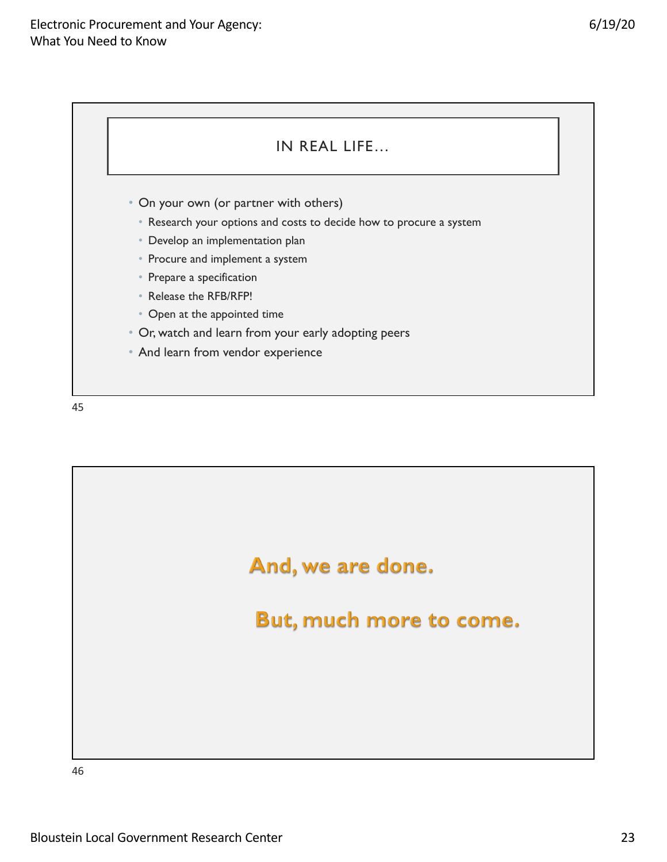#### IN REAL LIFE…

- On your own (or partner with others)
	- Research your options and costs to decide how to procure a system
	- Develop an implementation plan
	- Procure and implement a system
	- Prepare a specification
	- Release the RFB/RFP!
	- Open at the appointed time
- Or, watch and learn from your early adopting peers
- And learn from vendor experience

45

![](_page_22_Figure_13.jpeg)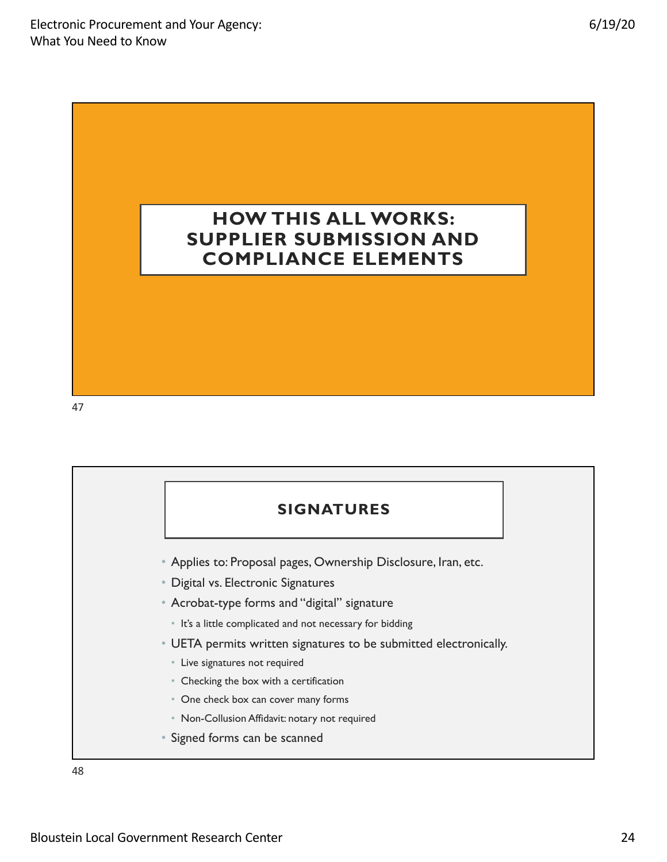## **HOW THIS ALL WORKS: SUPPLIER SUBMISSION AND COMPLIANCE ELEMENTS**

47

![](_page_23_Figure_4.jpeg)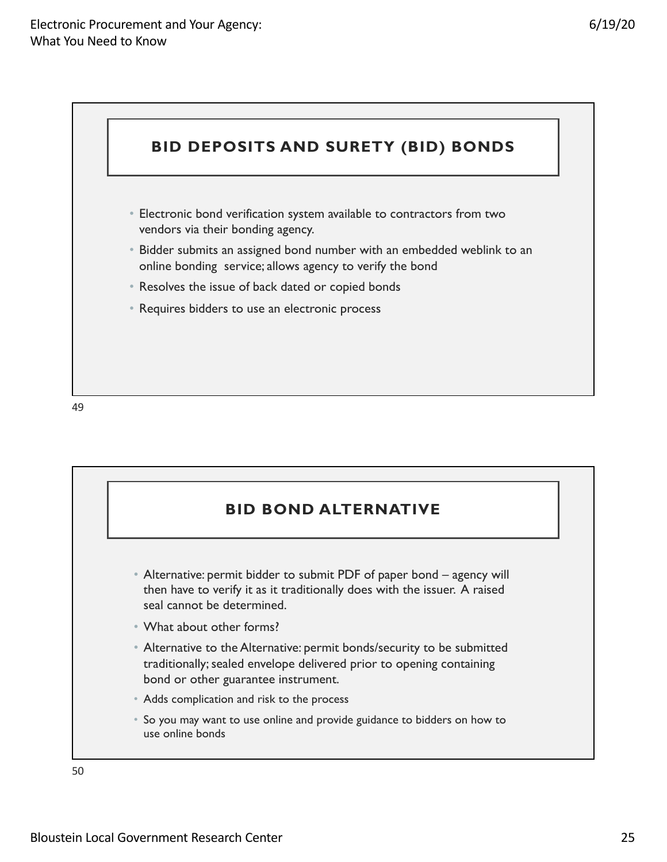![](_page_24_Figure_2.jpeg)

![](_page_24_Figure_4.jpeg)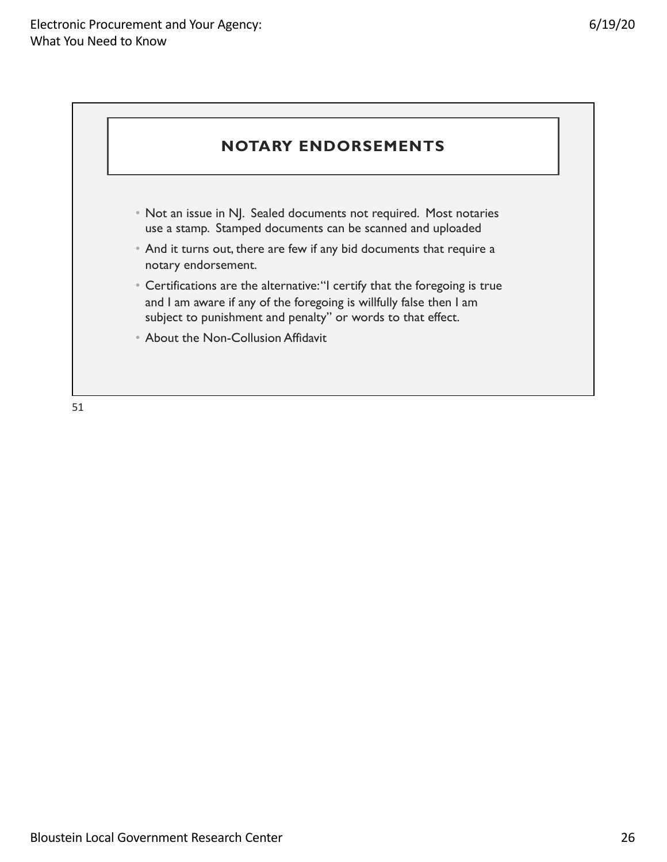![](_page_25_Figure_2.jpeg)

- Not an issue in NJ. Sealed documents not required. Most notaries use a stamp. Stamped documents can be scanned and uploaded
- And it turns out, there are few if any bid documents that require a notary endorsement.
- Certifications are the alternative: "I certify that the foregoing is true and I am aware if any of the foregoing is willfully false then I am subject to punishment and penalty" or words to that effect.
- About the Non-Collusion Affidavit